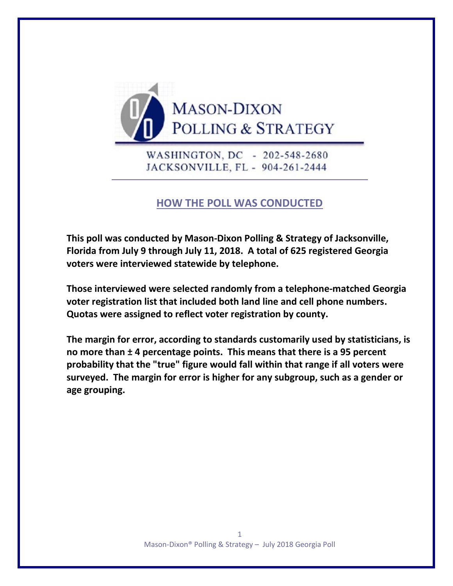

WASHINGTON, DC - 202-548-2680 JACKSONVILLE, FL - 904-261-2444

# **HOW THE POLL WAS CONDUCTED**

**This poll was conducted by Mason-Dixon Polling & Strategy of Jacksonville, Florida from July 9 through July 11, 2018. A total of 625 registered Georgia voters were interviewed statewide by telephone.** 

**Those interviewed were selected randomly from a telephone-matched Georgia voter registration list that included both land line and cell phone numbers. Quotas were assigned to reflect voter registration by county.**

**The margin for error, according to standards customarily used by statisticians, is no more than ± 4 percentage points. This means that there is a 95 percent probability that the "true" figure would fall within that range if all voters were surveyed. The margin for error is higher for any subgroup, such as a gender or age grouping.**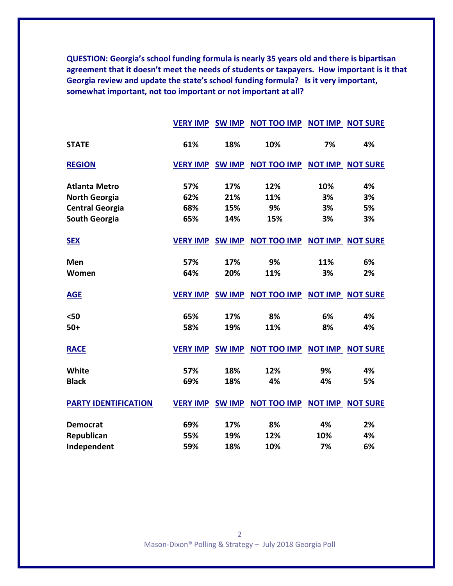**QUESTION: Georgia's school funding formula is nearly 35 years old and there is bipartisan agreement that it doesn't meet the needs of students or taxpayers. How important is it that Georgia review and update the state's school funding formula? Is it very important, somewhat important, not too important or not important at all?**

|                             |                 |     | <b>VERY IMP SW IMP NOT TOO IMP</b>           | <b>NOT IMP</b> | <b>NOT SURE</b>         |
|-----------------------------|-----------------|-----|----------------------------------------------|----------------|-------------------------|
| <b>STATE</b>                | 61%             | 18% | 10%                                          | 7%             | 4%                      |
| <b>REGION</b>               |                 |     | VERY IMP SW IMP NOT TOO IMP NOT IMP NOT SURE |                |                         |
| <b>Atlanta Metro</b>        | 57%             | 17% | 12%                                          | 10%            | 4%                      |
| <b>North Georgia</b>        | 62%             | 21% | 11%                                          | 3%             | 3%                      |
| <b>Central Georgia</b>      | 68%             | 15% | 9%                                           | 3%             | 5%                      |
| <b>South Georgia</b>        | 65%             | 14% | 15%                                          | 3%             | 3%                      |
| <b>SEX</b>                  |                 |     | VERY IMP SW IMP NOT TOO IMP NOT IMP NOT SURE |                |                         |
| Men                         | 57%             | 17% | 9%                                           | 11%            | 6%                      |
| Women                       | 64%             | 20% | 11%                                          | 3%             | 2%                      |
| <b>AGE</b>                  |                 |     | VERY IMP SW IMP NOT TOO IMP                  |                | <b>NOT IMP NOT SURE</b> |
| $50$                        | 65%             | 17% | 8%                                           | 6%             | 4%                      |
| $50+$                       | 58%             | 19% | 11%                                          | 8%             | 4%                      |
| <b>RACE</b>                 | <b>VERY IMP</b> |     | SW IMP NOT TOO IMP NOT IMP NOT SURE          |                |                         |
| White                       | 57%             | 18% | 12%                                          | 9%             | 4%                      |
| <b>Black</b>                | 69%             | 18% | 4%                                           | 4%             | 5%                      |
| <b>PARTY IDENTIFICATION</b> |                 |     | VERY IMP SW IMP NOT TOO IMP                  |                | <b>NOT IMP NOT SURE</b> |
| <b>Democrat</b>             | 69%             | 17% | 8%                                           | 4%             | 2%                      |
| Republican                  | 55%             | 19% | 12%                                          | 10%            | 4%                      |
| Independent                 | 59%             | 18% | 10%                                          | 7%             | 6%                      |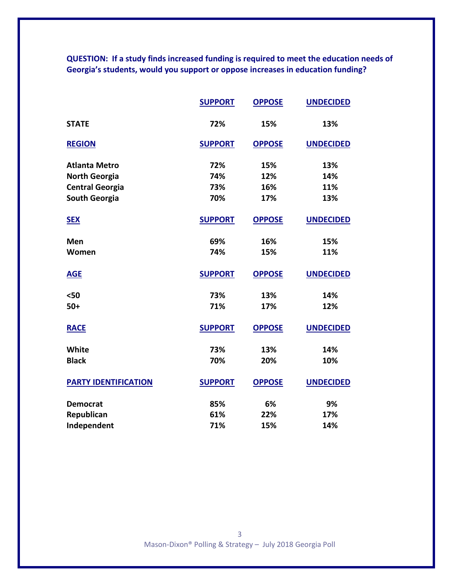**QUESTION: If a study finds increased funding is required to meet the education needs of Georgia's students, would you support or oppose increases in education funding?**

|                             | <b>SUPPORT</b> | <b>OPPOSE</b> | <b>UNDECIDED</b> |
|-----------------------------|----------------|---------------|------------------|
| <b>STATE</b>                | 72%            | 15%           | 13%              |
| <b>REGION</b>               | <b>SUPPORT</b> | <b>OPPOSE</b> | <b>UNDECIDED</b> |
| <b>Atlanta Metro</b>        | 72%            | 15%           | 13%              |
| <b>North Georgia</b>        | 74%            | 12%           | 14%              |
| <b>Central Georgia</b>      | 73%            | 16%           | 11%              |
| <b>South Georgia</b>        | 70%            | 17%           | 13%              |
| <b>SEX</b>                  | <b>SUPPORT</b> | <b>OPPOSE</b> | <b>UNDECIDED</b> |
| Men                         | 69%            | 16%           | 15%              |
| Women                       | 74%            | 15%           | 11%              |
| <b>AGE</b>                  | <b>SUPPORT</b> | <b>OPPOSE</b> | <b>UNDECIDED</b> |
| $50$                        | 73%            | 13%           | 14%              |
| $50+$                       | 71%            | 17%           | 12%              |
| <b>RACE</b>                 | <b>SUPPORT</b> | <b>OPPOSE</b> | <b>UNDECIDED</b> |
| White                       | 73%            | 13%           | 14%              |
| <b>Black</b>                | 70%            | 20%           | 10%              |
| <b>PARTY IDENTIFICATION</b> | <b>SUPPORT</b> | <b>OPPOSE</b> | <b>UNDECIDED</b> |
| <b>Democrat</b>             | 85%            | 6%            | 9%               |
| Republican                  | 61%            | 22%           | 17%              |
| Independent                 | 71%            | 15%           | 14%              |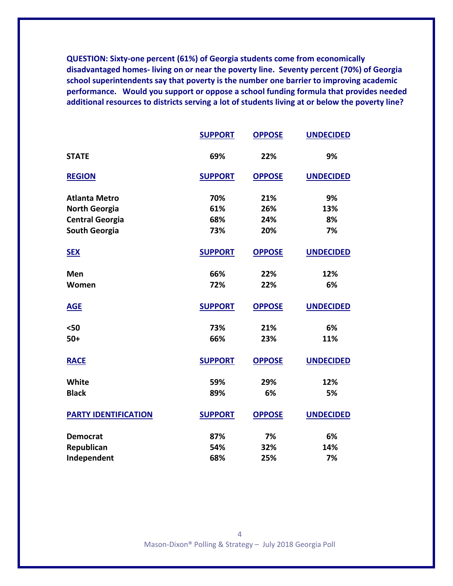**QUESTION: Sixty-one percent (61%) of Georgia students come from economically disadvantaged homes- living on or near the poverty line. Seventy percent (70%) of Georgia school superintendents say that poverty is the number one barrier to improving academic performance. Would you support or oppose a school funding formula that provides needed additional resources to districts serving a lot of students living at or below the poverty line?**

|                             | <b>SUPPORT</b> | <b>OPPOSE</b> | <b>UNDECIDED</b> |
|-----------------------------|----------------|---------------|------------------|
| <b>STATE</b>                | 69%            | 22%           | 9%               |
| <b>REGION</b>               | <b>SUPPORT</b> | <b>OPPOSE</b> | <b>UNDECIDED</b> |
| <b>Atlanta Metro</b>        | 70%            | 21%           | 9%               |
| <b>North Georgia</b>        | 61%            | 26%           | 13%              |
| <b>Central Georgia</b>      | 68%            | 24%           | 8%               |
| <b>South Georgia</b>        | 73%            | 20%           | 7%               |
| <b>SEX</b>                  | <b>SUPPORT</b> | <b>OPPOSE</b> | <b>UNDECIDED</b> |
| Men                         | 66%            | 22%           | 12%              |
| Women                       | 72%            | 22%           | 6%               |
| <b>AGE</b>                  | <b>SUPPORT</b> | <b>OPPOSE</b> | <b>UNDECIDED</b> |
| $50$                        | 73%            | 21%           | 6%               |
| $50+$                       | 66%            | 23%           | 11%              |
| <b>RACE</b>                 | <b>SUPPORT</b> | <b>OPPOSE</b> | <b>UNDECIDED</b> |
| <b>White</b>                | 59%            | 29%           | 12%              |
| <b>Black</b>                | 89%            | 6%            | 5%               |
| <b>PARTY IDENTIFICATION</b> | <b>SUPPORT</b> | <b>OPPOSE</b> | <b>UNDECIDED</b> |
| <b>Democrat</b>             | 87%            | 7%            | 6%               |
| Republican                  | 54%            | 32%           | 14%              |
| Independent                 | 68%            | 25%           | 7%               |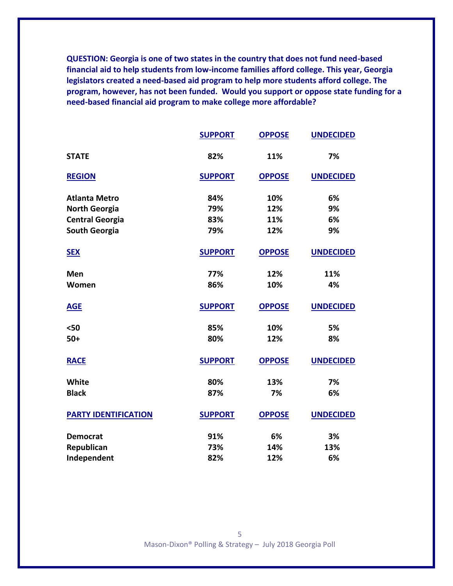**QUESTION: Georgia is one of two states in the country that does not fund need-based financial aid to help students from low-income families afford college. This year, Georgia legislators created a need-based aid program to help more students afford college. The program, however, has not been funded. Would you support or oppose state funding for a need-based financial aid program to make college more affordable?**

|                             | <b>SUPPORT</b> | <b>OPPOSE</b> | <b>UNDECIDED</b> |
|-----------------------------|----------------|---------------|------------------|
| <b>STATE</b>                | 82%            | 11%           | 7%               |
| <b>REGION</b>               | <b>SUPPORT</b> | <b>OPPOSE</b> | <b>UNDECIDED</b> |
| <b>Atlanta Metro</b>        | 84%            | 10%           | 6%               |
| <b>North Georgia</b>        | 79%            | 12%           | 9%               |
| <b>Central Georgia</b>      | 83%            | 11%           | 6%               |
| <b>South Georgia</b>        | 79%            | 12%           | 9%               |
| <b>SEX</b>                  | <b>SUPPORT</b> | <b>OPPOSE</b> | <b>UNDECIDED</b> |
| Men                         | 77%            | 12%           | 11%              |
| Women                       | 86%            | 10%           | 4%               |
| <b>AGE</b>                  | <b>SUPPORT</b> | <b>OPPOSE</b> | <b>UNDECIDED</b> |
| $50$                        | 85%            | 10%           | 5%               |
| $50+$                       | 80%            | 12%           | 8%               |
| <b>RACE</b>                 | <b>SUPPORT</b> | <b>OPPOSE</b> | <b>UNDECIDED</b> |
| White                       | 80%            | 13%           | 7%               |
| <b>Black</b>                | 87%            | 7%            | 6%               |
| <b>PARTY IDENTIFICATION</b> | <b>SUPPORT</b> | <b>OPPOSE</b> | <b>UNDECIDED</b> |
| <b>Democrat</b>             | 91%            | 6%            | 3%               |
| Republican                  | 73%            | 14%           | 13%              |
| Independent                 | 82%            | 12%           | 6%               |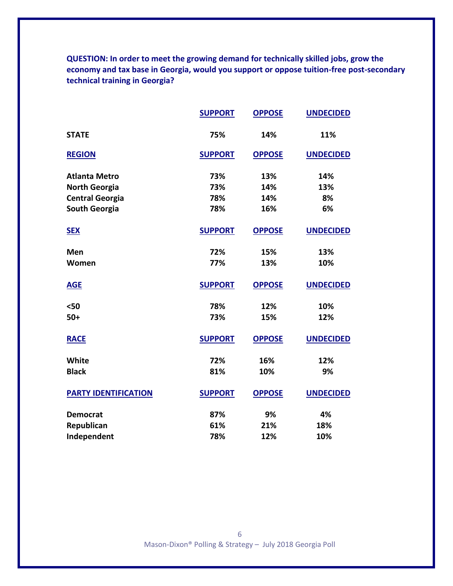**QUESTION: In order to meet the growing demand for technically skilled jobs, grow the economy and tax base in Georgia, would you support or oppose tuition-free post-secondary technical training in Georgia?**

|                             | <b>SUPPORT</b> | <b>OPPOSE</b> | <b>UNDECIDED</b> |
|-----------------------------|----------------|---------------|------------------|
| <b>STATE</b>                | 75%            | 14%           | 11%              |
| <b>REGION</b>               | <b>SUPPORT</b> | <b>OPPOSE</b> | <b>UNDECIDED</b> |
| <b>Atlanta Metro</b>        | 73%            | 13%           | 14%              |
| <b>North Georgia</b>        | 73%            | 14%           | 13%              |
| <b>Central Georgia</b>      | 78%            | 14%           | 8%               |
| <b>South Georgia</b>        | 78%            | 16%           | 6%               |
| <b>SEX</b>                  | <b>SUPPORT</b> | <b>OPPOSE</b> | <b>UNDECIDED</b> |
| Men                         | 72%            | 15%           | 13%              |
| Women                       | 77%            | 13%           | 10%              |
| <b>AGE</b>                  | <b>SUPPORT</b> | <b>OPPOSE</b> | <b>UNDECIDED</b> |
| $50$                        | 78%            | 12%           | 10%              |
| $50+$                       | 73%            | 15%           | 12%              |
| <b>RACE</b>                 | <b>SUPPORT</b> | <b>OPPOSE</b> | <b>UNDECIDED</b> |
| <b>White</b>                | 72%            | 16%           | 12%              |
| <b>Black</b>                | 81%            | 10%           | 9%               |
| <b>PARTY IDENTIFICATION</b> | <b>SUPPORT</b> | <b>OPPOSE</b> | <b>UNDECIDED</b> |
| <b>Democrat</b>             | 87%            | 9%            | 4%               |
| Republican                  | 61%            | 21%           | 18%              |
| Independent                 | 78%            | 12%           | 10%              |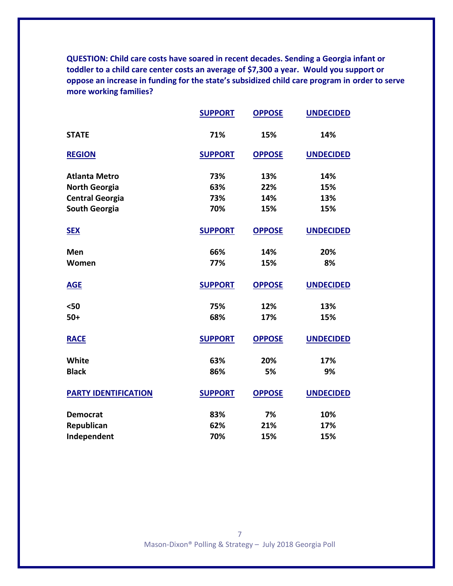**QUESTION: Child care costs have soared in recent decades. Sending a Georgia infant or toddler to a child care center costs an average of \$7,300 a year. Would you support or oppose an increase in funding for the state's subsidized child care program in order to serve more working families?**

|                             | <b>SUPPORT</b> | <b>OPPOSE</b> | <b>UNDECIDED</b> |
|-----------------------------|----------------|---------------|------------------|
| <b>STATE</b>                | 71%            | 15%           | 14%              |
| <b>REGION</b>               | <b>SUPPORT</b> | <b>OPPOSE</b> | <b>UNDECIDED</b> |
| <b>Atlanta Metro</b>        | 73%            | 13%           | 14%              |
| <b>North Georgia</b>        | 63%            | 22%           | 15%              |
| <b>Central Georgia</b>      | 73%            | 14%           | 13%              |
| <b>South Georgia</b>        | 70%            | 15%           | 15%              |
| <b>SEX</b>                  | <b>SUPPORT</b> | <b>OPPOSE</b> | <b>UNDECIDED</b> |
| Men                         | 66%            | 14%           | 20%              |
| Women                       | 77%            | 15%           | 8%               |
| <b>AGE</b>                  | <b>SUPPORT</b> | <b>OPPOSE</b> | <b>UNDECIDED</b> |
| $50$                        | 75%            | 12%           | 13%              |
| $50+$                       | 68%            | 17%           | 15%              |
| <b>RACE</b>                 | <b>SUPPORT</b> | <b>OPPOSE</b> | <b>UNDECIDED</b> |
| White                       | 63%            | 20%           | 17%              |
| <b>Black</b>                | 86%            | 5%            | 9%               |
| <b>PARTY IDENTIFICATION</b> | <b>SUPPORT</b> | <b>OPPOSE</b> | <b>UNDECIDED</b> |
| <b>Democrat</b>             | 83%            | 7%            | 10%              |
| Republican                  | 62%            | 21%           | 17%              |
| Independent                 | 70%            | 15%           | 15%              |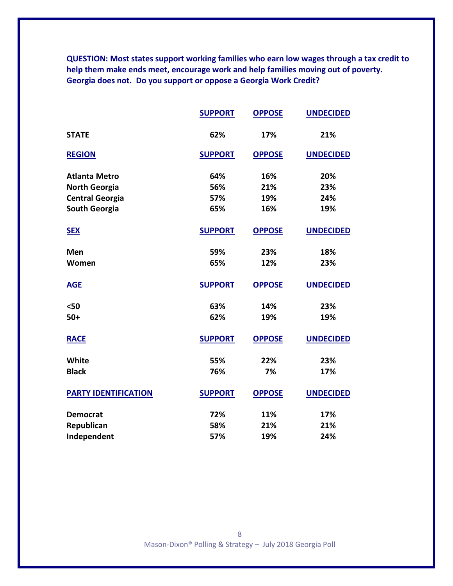**QUESTION: Most states support working families who earn low wages through a tax credit to help them make ends meet, encourage work and help families moving out of poverty. Georgia does not. Do you support or oppose a Georgia Work Credit?**

|                             | <b>SUPPORT</b> | <b>OPPOSE</b> | <b>UNDECIDED</b> |
|-----------------------------|----------------|---------------|------------------|
| <b>STATE</b>                | 62%            | 17%           | 21%              |
| <b>REGION</b>               | <b>SUPPORT</b> | <b>OPPOSE</b> | <b>UNDECIDED</b> |
| <b>Atlanta Metro</b>        | 64%            | 16%           | 20%              |
| <b>North Georgia</b>        | 56%            | 21%           | 23%              |
| <b>Central Georgia</b>      | 57%            | 19%           | 24%              |
| <b>South Georgia</b>        | 65%            | 16%           | 19%              |
| <b>SEX</b>                  | <b>SUPPORT</b> | <b>OPPOSE</b> | <b>UNDECIDED</b> |
| Men                         | 59%            | 23%           | 18%              |
| Women                       | 65%            | 12%           | 23%              |
| <b>AGE</b>                  | <b>SUPPORT</b> | <b>OPPOSE</b> | <b>UNDECIDED</b> |
| $50$                        | 63%            | 14%           | 23%              |
| $50+$                       | 62%            | 19%           | 19%              |
| <b>RACE</b>                 | <b>SUPPORT</b> | <b>OPPOSE</b> | <b>UNDECIDED</b> |
| White                       | 55%            | 22%           | 23%              |
| <b>Black</b>                | 76%            | 7%            | 17%              |
| <b>PARTY IDENTIFICATION</b> | <b>SUPPORT</b> | <b>OPPOSE</b> | <b>UNDECIDED</b> |
| <b>Democrat</b>             | 72%            | 11%           | 17%              |
| Republican                  | 58%            | 21%           | 21%              |
| Independent                 | 57%            | 19%           | 24%              |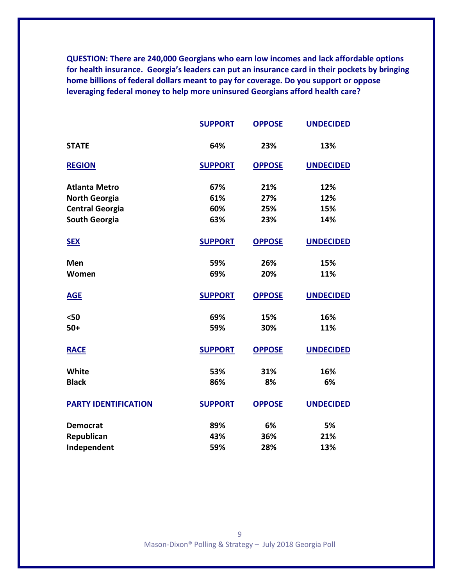**QUESTION: There are 240,000 Georgians who earn low incomes and lack affordable options for health insurance. Georgia's leaders can put an insurance card in their pockets by bringing home billions of federal dollars meant to pay for coverage. Do you support or oppose leveraging federal money to help more uninsured Georgians afford health care?**

|                             | <b>SUPPORT</b> | <b>OPPOSE</b> | <b>UNDECIDED</b> |
|-----------------------------|----------------|---------------|------------------|
| <b>STATE</b>                | 64%            | 23%           | 13%              |
| <b>REGION</b>               | <b>SUPPORT</b> | <b>OPPOSE</b> | <b>UNDECIDED</b> |
| <b>Atlanta Metro</b>        | 67%            | 21%           | 12%              |
| <b>North Georgia</b>        | 61%            | 27%           | 12%              |
| <b>Central Georgia</b>      | 60%            | 25%           | 15%              |
| <b>South Georgia</b>        | 63%            | 23%           | 14%              |
| <b>SEX</b>                  | <b>SUPPORT</b> | <b>OPPOSE</b> | <b>UNDECIDED</b> |
| Men                         | 59%            | 26%           | 15%              |
| Women                       | 69%            | 20%           | 11%              |
| <b>AGE</b>                  | <b>SUPPORT</b> | <b>OPPOSE</b> | <b>UNDECIDED</b> |
| $50$                        | 69%            | 15%           | 16%              |
| $50+$                       | 59%            | 30%           | 11%              |
| <b>RACE</b>                 | <b>SUPPORT</b> | <b>OPPOSE</b> | <b>UNDECIDED</b> |
| <b>White</b>                | 53%            | 31%           | 16%              |
| <b>Black</b>                | 86%            | 8%            | 6%               |
| <b>PARTY IDENTIFICATION</b> | <b>SUPPORT</b> | <b>OPPOSE</b> | <b>UNDECIDED</b> |
| <b>Democrat</b>             | 89%            | 6%            | 5%               |
| Republican                  | 43%            | 36%           | 21%              |
| Independent                 | 59%            | 28%           | 13%              |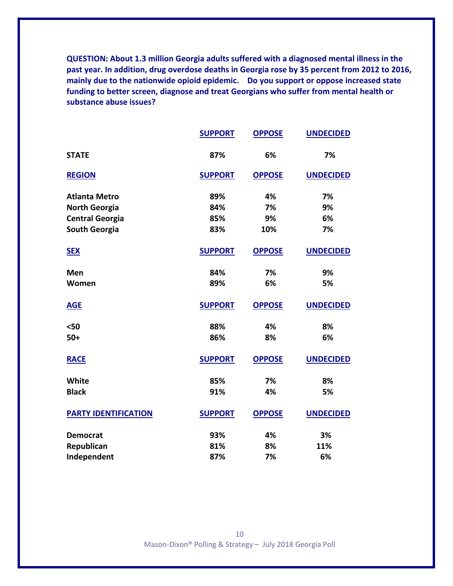**QUESTION: About 1.3 million Georgia adults suffered with a diagnosed mental illness in the past year. In addition, drug overdose deaths in Georgia rose by 35 percent from 2012 to 2016, mainly due to the nationwide opioid epidemic. Do you support or oppose increased state funding to better screen, diagnose and treat Georgians who suffer from mental health or substance abuse issues?**

|                             | <b>SUPPORT</b> | <b>OPPOSE</b> | <b>UNDECIDED</b> |
|-----------------------------|----------------|---------------|------------------|
| <b>STATE</b>                | 87%            | 6%            | 7%               |
| <b>REGION</b>               | <b>SUPPORT</b> | <b>OPPOSE</b> | <b>UNDECIDED</b> |
| <b>Atlanta Metro</b>        | 89%            | 4%            | 7%               |
| <b>North Georgia</b>        | 84%            | 7%            | 9%               |
| <b>Central Georgia</b>      | 85%            | 9%            | 6%               |
| <b>South Georgia</b>        | 83%            | 10%           | 7%               |
| <b>SEX</b>                  | <b>SUPPORT</b> | <b>OPPOSE</b> | <b>UNDECIDED</b> |
| Men                         | 84%            | 7%            | 9%               |
| Women                       | 89%            | 6%            | 5%               |
| <b>AGE</b>                  | <b>SUPPORT</b> | <b>OPPOSE</b> | <b>UNDECIDED</b> |
| $50$                        | 88%            | 4%            | 8%               |
| $50+$                       | 86%            | 8%            | 6%               |
| <b>RACE</b>                 | <b>SUPPORT</b> | <b>OPPOSE</b> | <b>UNDECIDED</b> |
| <b>White</b>                | 85%            | 7%            | 8%               |
| <b>Black</b>                | 91%            | 4%            | 5%               |
| <b>PARTY IDENTIFICATION</b> | <b>SUPPORT</b> | <b>OPPOSE</b> | <b>UNDECIDED</b> |
| <b>Democrat</b>             | 93%            | 4%            | 3%               |
| Republican                  | 81%            | 8%            | 11%              |
| Independent                 | 87%            | 7%            | 6%               |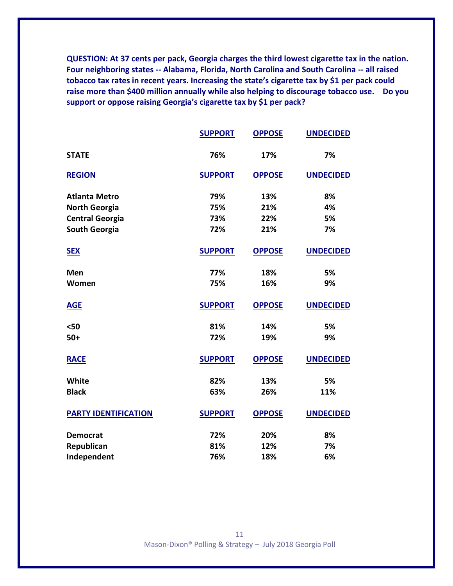**QUESTION: At 37 cents per pack, Georgia charges the third lowest cigarette tax in the nation. Four neighboring states -- Alabama, Florida, North Carolina and South Carolina -- all raised tobacco tax rates in recent years. Increasing the state's cigarette tax by \$1 per pack could raise more than \$400 million annually while also helping to discourage tobacco use. Do you support or oppose raising Georgia's cigarette tax by \$1 per pack?**

|                             | <b>SUPPORT</b> | <b>OPPOSE</b> | <b>UNDECIDED</b> |
|-----------------------------|----------------|---------------|------------------|
| <b>STATE</b>                | 76%            | 17%           | 7%               |
| <b>REGION</b>               | <b>SUPPORT</b> | <b>OPPOSE</b> | <b>UNDECIDED</b> |
| <b>Atlanta Metro</b>        | 79%            | 13%           | 8%               |
| <b>North Georgia</b>        | 75%            | 21%           | 4%               |
| <b>Central Georgia</b>      | 73%            | 22%           | 5%               |
| <b>South Georgia</b>        | 72%            | 21%           | 7%               |
| <b>SEX</b>                  | <b>SUPPORT</b> | <b>OPPOSE</b> | <b>UNDECIDED</b> |
| Men                         | 77%            | 18%           | 5%               |
| Women                       | 75%            | 16%           | 9%               |
| <b>AGE</b>                  | <b>SUPPORT</b> | <b>OPPOSE</b> | <b>UNDECIDED</b> |
| $50$                        | 81%            | 14%           | 5%               |
| $50+$                       | 72%            | 19%           | 9%               |
| <b>RACE</b>                 | <b>SUPPORT</b> | <b>OPPOSE</b> | <b>UNDECIDED</b> |
| <b>White</b>                | 82%            | 13%           | 5%               |
| <b>Black</b>                | 63%            | 26%           | 11%              |
| <b>PARTY IDENTIFICATION</b> | <b>SUPPORT</b> | <b>OPPOSE</b> | <b>UNDECIDED</b> |
| <b>Democrat</b>             | 72%            | 20%           | 8%               |
| Republican                  | 81%            | 12%           | 7%               |
| Independent                 | 76%            | 18%           | 6%               |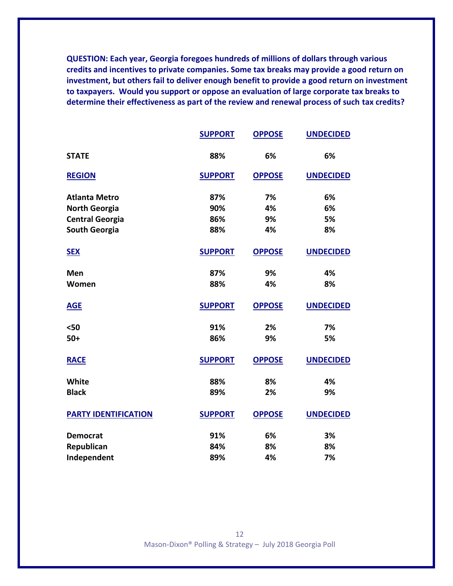**QUESTION: Each year, Georgia foregoes hundreds of millions of dollars through various credits and incentives to private companies. Some tax breaks may provide a good return on investment, but others fail to deliver enough benefit to provide a good return on investment to taxpayers. Would you support or oppose an evaluation of large corporate tax breaks to determine their effectiveness as part of the review and renewal process of such tax credits?**

|                             | <b>SUPPORT</b> | <b>OPPOSE</b> | <b>UNDECIDED</b> |
|-----------------------------|----------------|---------------|------------------|
| <b>STATE</b>                | 88%            | 6%            | 6%               |
| <b>REGION</b>               | <b>SUPPORT</b> | <b>OPPOSE</b> | <b>UNDECIDED</b> |
| <b>Atlanta Metro</b>        | 87%            | 7%            | 6%               |
| <b>North Georgia</b>        | 90%            | 4%            | 6%               |
| <b>Central Georgia</b>      | 86%            | 9%            | 5%               |
| <b>South Georgia</b>        | 88%            | 4%            | 8%               |
| <b>SEX</b>                  | <b>SUPPORT</b> | <b>OPPOSE</b> | <b>UNDECIDED</b> |
| Men                         | 87%            | 9%            | 4%               |
| Women                       | 88%            | 4%            | 8%               |
| <b>AGE</b>                  | <b>SUPPORT</b> | <b>OPPOSE</b> | <b>UNDECIDED</b> |
| $50$                        | 91%            | 2%            | 7%               |
| $50+$                       | 86%            | 9%            | 5%               |
| <b>RACE</b>                 | <b>SUPPORT</b> | <b>OPPOSE</b> | <b>UNDECIDED</b> |
| <b>White</b>                | 88%            | 8%            | 4%               |
| <b>Black</b>                | 89%            | 2%            | 9%               |
| <b>PARTY IDENTIFICATION</b> | <b>SUPPORT</b> | <b>OPPOSE</b> | <b>UNDECIDED</b> |
| <b>Democrat</b>             | 91%            | 6%            | 3%               |
| Republican                  | 84%            | 8%            | 8%               |
| Independent                 | 89%            | 4%            | 7%               |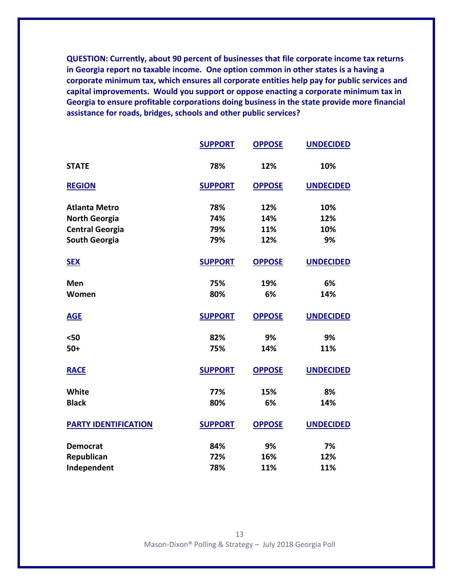**QUESTION: Currently, about 90 percent of businesses that file corporate income tax returns in Georgia report no taxable income. One option common in other states is a having a corporate minimum tax, which ensures all corporate entities help pay for public services and capital improvements. Would you support or oppose enacting a corporate minimum tax in Georgia to ensure profitable corporations doing business in the state provide more financial assistance for roads, bridges, schools and other public services?**

|                             | <b>SUPPORT</b> | <b>OPPOSE</b> | <b>UNDECIDED</b> |
|-----------------------------|----------------|---------------|------------------|
| <b>STATE</b>                | 78%            | 12%           | 10%              |
| <b>REGION</b>               | <b>SUPPORT</b> | <b>OPPOSE</b> | <b>UNDECIDED</b> |
| <b>Atlanta Metro</b>        | 78%            | 12%           | 10%              |
| <b>North Georgia</b>        | 74%            | 14%           | 12%              |
| <b>Central Georgia</b>      | 79%            | 11%           | 10%              |
| <b>South Georgia</b>        | 79%            | 12%           | 9%               |
| <b>SEX</b>                  | <b>SUPPORT</b> | <b>OPPOSE</b> | <b>UNDECIDED</b> |
| Men                         | 75%            | 19%           | 6%               |
| Women                       | 80%            | 6%            | 14%              |
| <b>AGE</b>                  | <b>SUPPORT</b> | <b>OPPOSE</b> | <b>UNDECIDED</b> |
| $50$                        | 82%            | 9%            | 9%               |
| $50+$                       | 75%            | 14%           | 11%              |
| <b>RACE</b>                 | <b>SUPPORT</b> | <b>OPPOSE</b> | <b>UNDECIDED</b> |
| White                       | 77%            | 15%           | 8%               |
| <b>Black</b>                | 80%            | 6%            | 14%              |
| <b>PARTY IDENTIFICATION</b> | <b>SUPPORT</b> | <b>OPPOSE</b> | <b>UNDECIDED</b> |
| <b>Democrat</b>             | 84%            | 9%            | 7%               |
| Republican                  | 72%            | 16%           | 12%              |
| Independent                 | 78%            | 11%           | 11%              |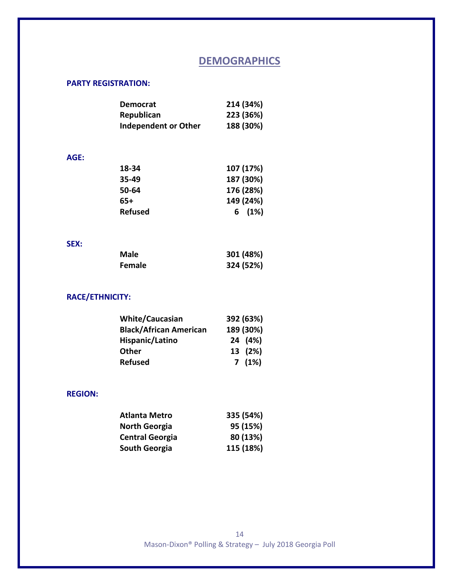# **DEMOGRAPHICS**

## **PARTY REGISTRATION:**

| <b>Democrat</b>             | 214 (34%) |
|-----------------------------|-----------|
| Republican                  | 223 (36%) |
| <b>Independent or Other</b> | 188 (30%) |

#### **AGE:**

| 18-34          | 107 (17%) |
|----------------|-----------|
| 35-49          | 187 (30%) |
| 50-64          | 176 (28%) |
| 65+            | 149 (24%) |
| <b>Refused</b> | 6(1%)     |

#### **SEX:**

| Male          | 301 (48%) |
|---------------|-----------|
| <b>Female</b> | 324 (52%) |

## **RACE/ETHNICITY:**

| <b>White/Caucasian</b>        | 392 (63%) |  |
|-------------------------------|-----------|--|
| <b>Black/African American</b> | 189 (30%) |  |
| Hispanic/Latino               | 24 (4%)   |  |
| Other                         | 13 (2%)   |  |
| <b>Refused</b>                | 7(1%)     |  |

## **REGION:**

| <b>Atlanta Metro</b>   | 335 (54%) |
|------------------------|-----------|
| <b>North Georgia</b>   | 95 (15%)  |
| <b>Central Georgia</b> | 80 (13%)  |
| South Georgia          | 115 (18%) |